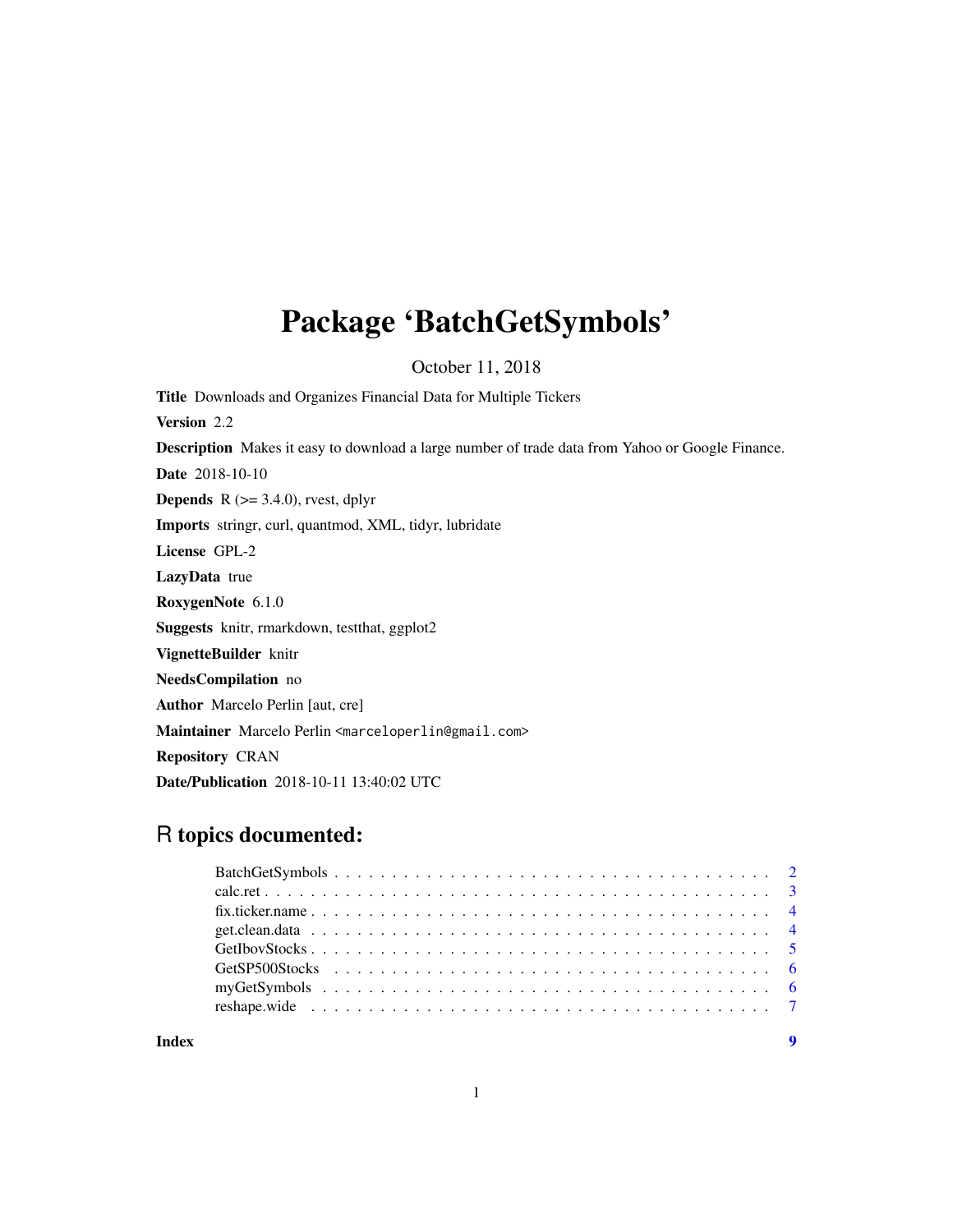## <span id="page-0-0"></span>Package 'BatchGetSymbols'

October 11, 2018

Title Downloads and Organizes Financial Data for Multiple Tickers Version 2.2 Description Makes it easy to download a large number of trade data from Yahoo or Google Finance. Date 2018-10-10 **Depends** R  $(>= 3.4.0)$ , rvest, dplyr Imports stringr, curl, quantmod, XML, tidyr, lubridate License GPL-2 LazyData true RoxygenNote 6.1.0 Suggests knitr, rmarkdown, testthat, ggplot2 VignetteBuilder knitr NeedsCompilation no Author Marcelo Perlin [aut, cre] Maintainer Marcelo Perlin <marceloperlin@gmail.com> Repository CRAN Date/Publication 2018-10-11 13:40:02 UTC

### R topics documented: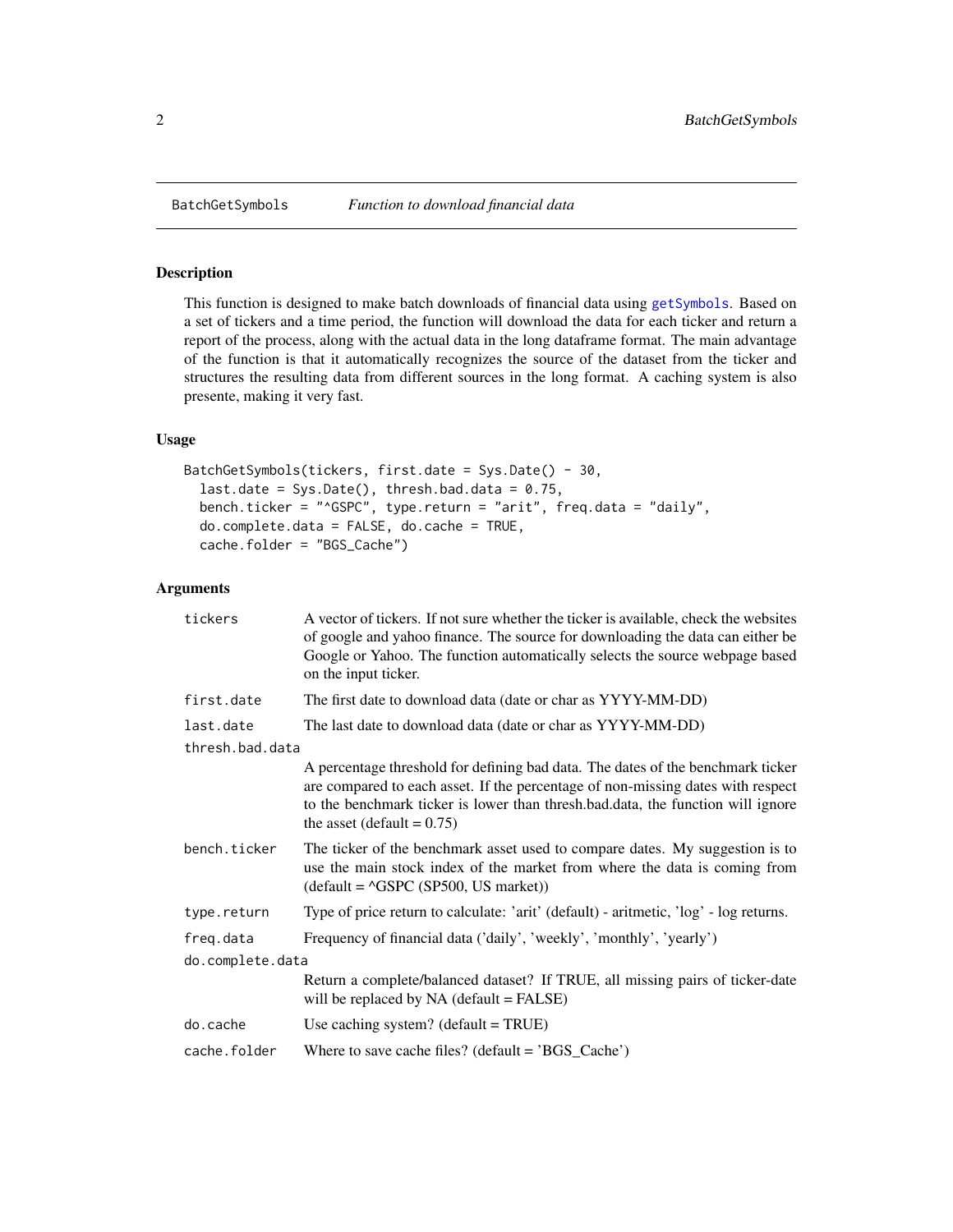<span id="page-1-1"></span><span id="page-1-0"></span>

#### Description

This function is designed to make batch downloads of financial data using [getSymbols](#page-0-0). Based on a set of tickers and a time period, the function will download the data for each ticker and return a report of the process, along with the actual data in the long dataframe format. The main advantage of the function is that it automatically recognizes the source of the dataset from the ticker and structures the resulting data from different sources in the long format. A caching system is also presente, making it very fast.

#### Usage

```
BatchGetSymbols(tickers, first.date = Sys.Date() - 30,
  last.date = Sys.Date(), thresh.bad.data = 0.75,
  bench.ticker = "^GSPC", type.return = "arit", freq.data = "daily",
  do.complete.data = FALSE, do.cache = TRUE,
  cache.folder = "BGS_Cache")
```
#### Arguments

| tickers          | A vector of tickers. If not sure whether the ticker is available, check the websites<br>of google and yahoo finance. The source for downloading the data can either be<br>Google or Yahoo. The function automatically selects the source webpage based<br>on the input ticker.         |
|------------------|----------------------------------------------------------------------------------------------------------------------------------------------------------------------------------------------------------------------------------------------------------------------------------------|
| first.date       | The first date to download data (date or char as YYYY-MM-DD)                                                                                                                                                                                                                           |
| last.date        | The last date to download data (date or char as YYYY-MM-DD)                                                                                                                                                                                                                            |
| thresh.bad.data  |                                                                                                                                                                                                                                                                                        |
|                  | A percentage threshold for defining bad data. The dates of the benchmark ticker<br>are compared to each asset. If the percentage of non-missing dates with respect<br>to the benchmark ticker is lower than thresh.bad.data, the function will ignore<br>the asset (default = $0.75$ ) |
| bench.ticker     | The ticker of the benchmark asset used to compare dates. My suggestion is to<br>use the main stock index of the market from where the data is coming from<br>$(detault = \triangleGSPC (SP500, US market))$                                                                            |
| type.return      | Type of price return to calculate: 'arit' (default) - aritmetic, 'log' - log returns.                                                                                                                                                                                                  |
| freg.data        | Frequency of financial data ('daily', 'weekly', 'monthly', 'yearly')                                                                                                                                                                                                                   |
| do.complete.data |                                                                                                                                                                                                                                                                                        |
|                  | Return a complete/balanced dataset? If TRUE, all missing pairs of ticker-date<br>will be replaced by NA (default = FALSE)                                                                                                                                                              |
| do.cache         | Use caching system? $(detault = TRUE)$                                                                                                                                                                                                                                                 |
| cache.folder     | Where to save cache files? (default = $'BGS_Cache'$ )                                                                                                                                                                                                                                  |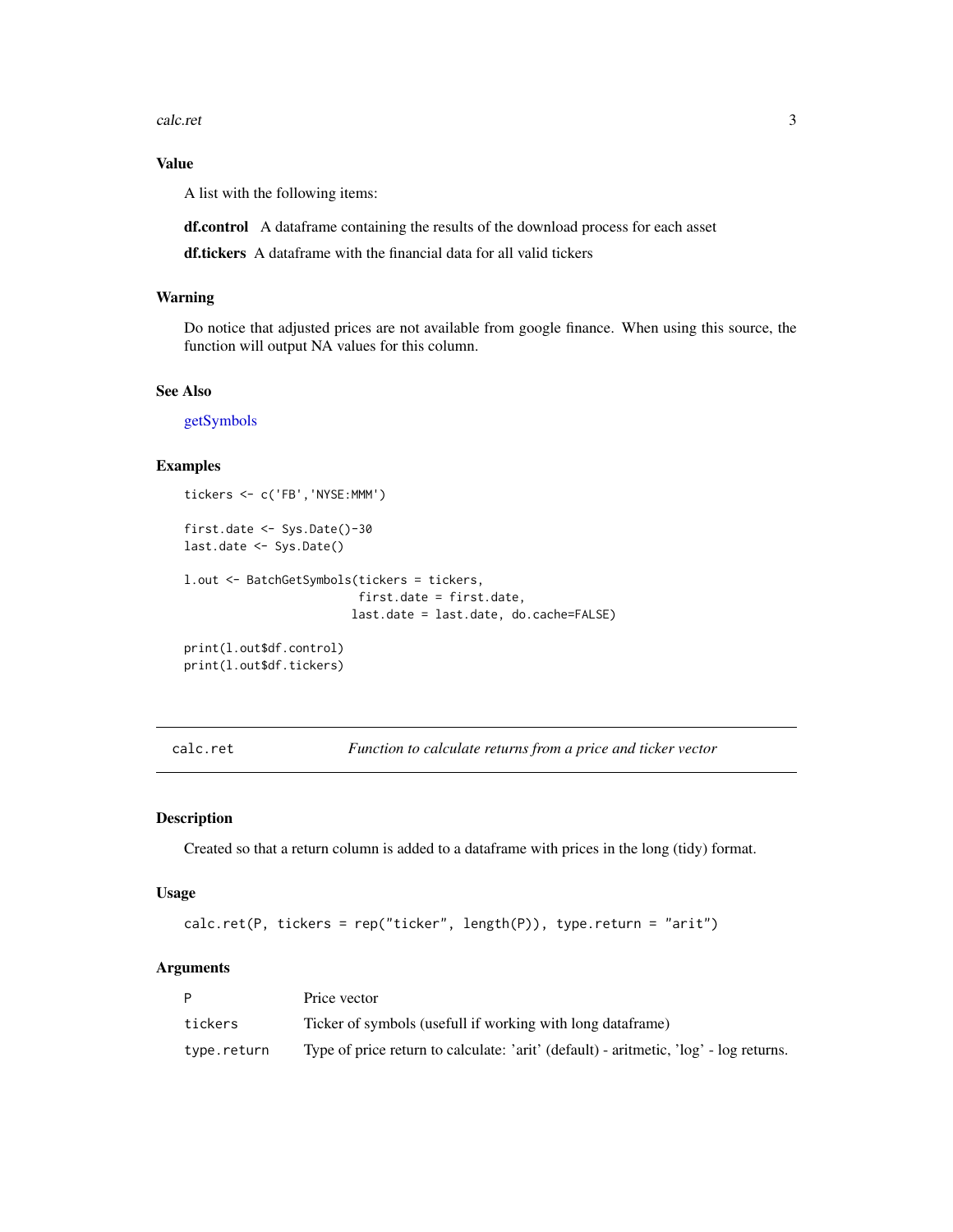<span id="page-2-0"></span>calc.ret 3

#### Value

A list with the following items:

df.control A dataframe containing the results of the download process for each asset

df.tickers A dataframe with the financial data for all valid tickers

#### Warning

Do notice that adjusted prices are not available from google finance. When using this source, the function will output NA values for this column.

#### See Also

[getSymbols](#page-0-0)

#### Examples

```
tickers <- c('FB','NYSE:MMM')
```

```
first.date <- Sys.Date()-30
last.date <- Sys.Date()
l.out <- BatchGetSymbols(tickers = tickers,
                         first.date = first.date,
                        last.date = last.date, do.cache=FALSE)
```

```
print(l.out$df.control)
print(l.out$df.tickers)
```
calc.ret *Function to calculate returns from a price and ticker vector*

#### Description

Created so that a return column is added to a dataframe with prices in the long (tidy) format.

#### Usage

```
calc.ret(P, tickers = rep("ticker", length(P)), type.return = "arit")
```
#### Arguments

|             | Price vector                                                                          |
|-------------|---------------------------------------------------------------------------------------|
| tickers     | Ticker of symbols (usefull if working with long dataframe)                            |
| type.return | Type of price return to calculate: 'arit' (default) - aritmetic, 'log' - log returns. |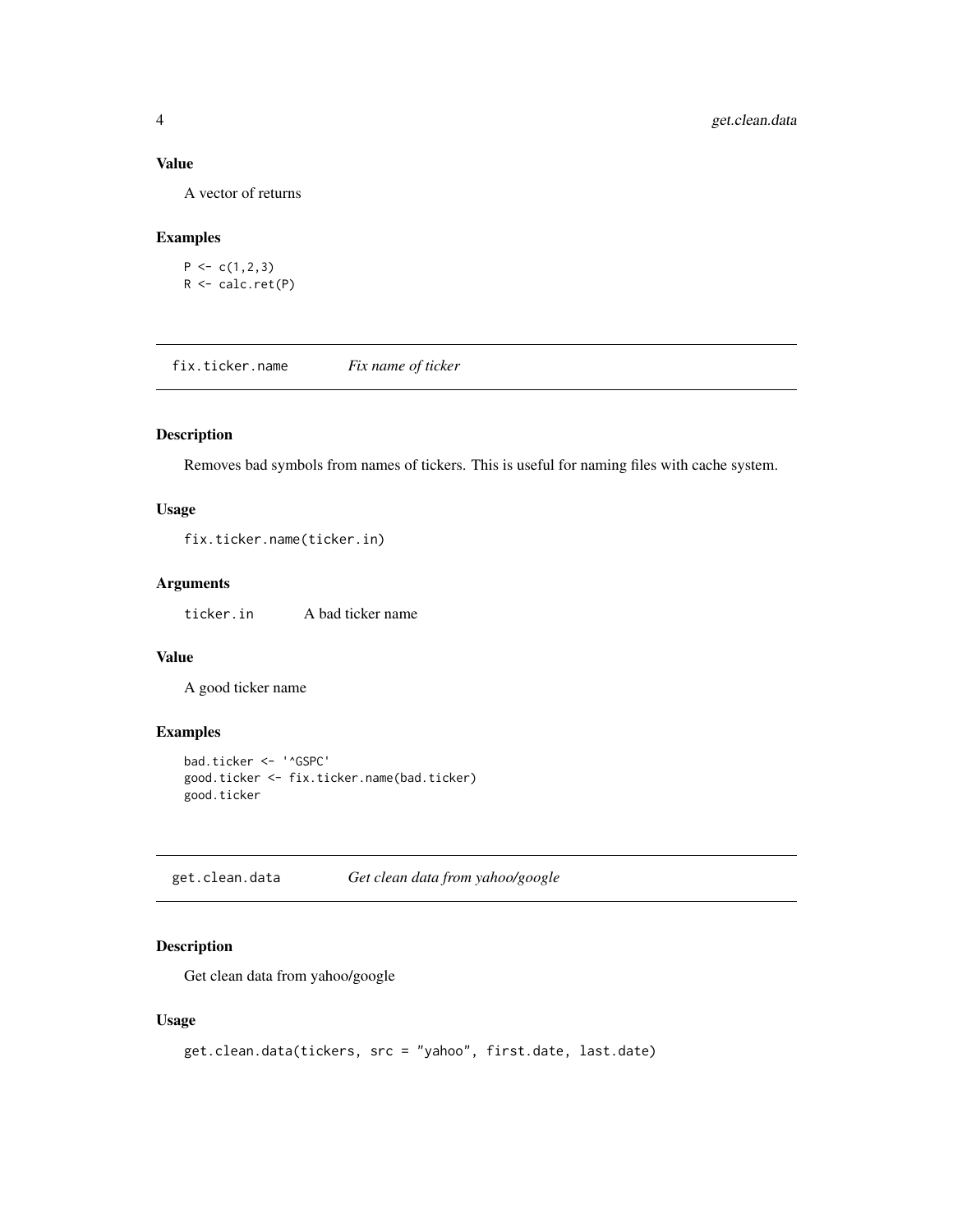#### <span id="page-3-0"></span>Value

A vector of returns

#### Examples

 $P \leftarrow c(1,2,3)$ R <- calc.ret(P)

fix.ticker.name *Fix name of ticker*

#### Description

Removes bad symbols from names of tickers. This is useful for naming files with cache system.

#### Usage

fix.ticker.name(ticker.in)

#### Arguments

ticker.in A bad ticker name

#### Value

A good ticker name

#### Examples

```
bad.ticker <- '^GSPC'
good.ticker <- fix.ticker.name(bad.ticker)
good.ticker
```
get.clean.data *Get clean data from yahoo/google*

#### Description

Get clean data from yahoo/google

#### Usage

```
get.clean.data(tickers, src = "yahoo", first.date, last.date)
```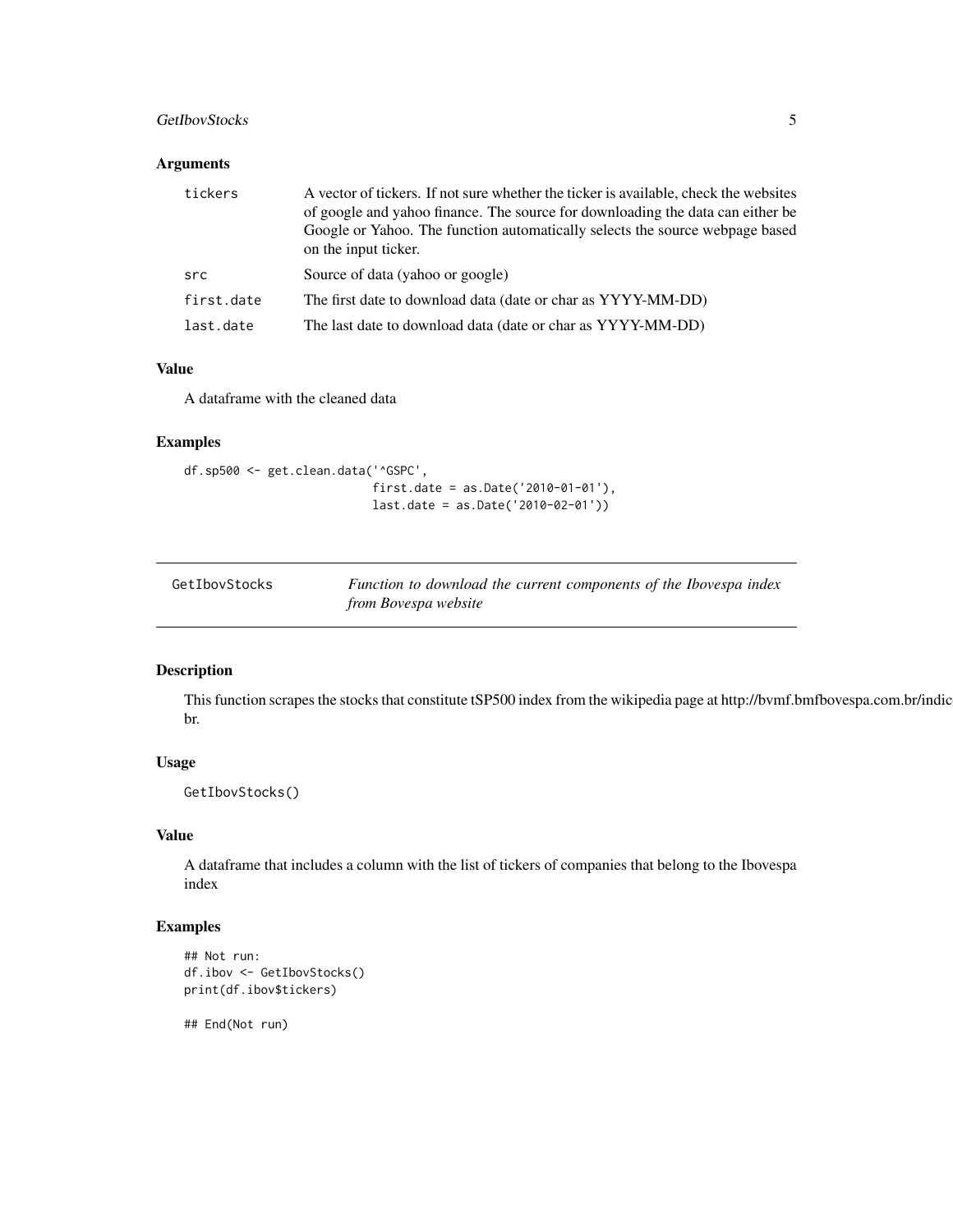#### <span id="page-4-0"></span>GetIbovStocks 5

#### Arguments

| tickers    | A vector of tickers. If not sure whether the ticker is available, check the websites<br>of google and yahoo finance. The source for downloading the data can either be<br>Google or Yahoo. The function automatically selects the source webpage based<br>on the input ticker. |
|------------|--------------------------------------------------------------------------------------------------------------------------------------------------------------------------------------------------------------------------------------------------------------------------------|
| src        | Source of data (yahoo or google)                                                                                                                                                                                                                                               |
| first.date | The first date to download data (date or char as YYYY-MM-DD)                                                                                                                                                                                                                   |
| last.date  | The last date to download data (date or char as YYYY-MM-DD)                                                                                                                                                                                                                    |

#### Value

A dataframe with the cleaned data

#### Examples

```
df.sp500 <- get.clean.data('^GSPC',
                           first.date = as.Date('2010-01-01'),
                           last.date = as.Date('2010-02-01'))
```

| GetIbovStocks | Function to download the current components of the Ibovespa index |
|---------------|-------------------------------------------------------------------|
|               | from Bovespa website                                              |

#### Description

This function scrapes the stocks that constitute tSP500 index from the wikipedia page at http://bvmf.bmfbovespa.com.br/indic br.

#### Usage

GetIbovStocks()

#### Value

A dataframe that includes a column with the list of tickers of companies that belong to the Ibovespa index

#### Examples

```
## Not run:
df.ibov <- GetIbovStocks()
print(df.ibov$tickers)
```
## End(Not run)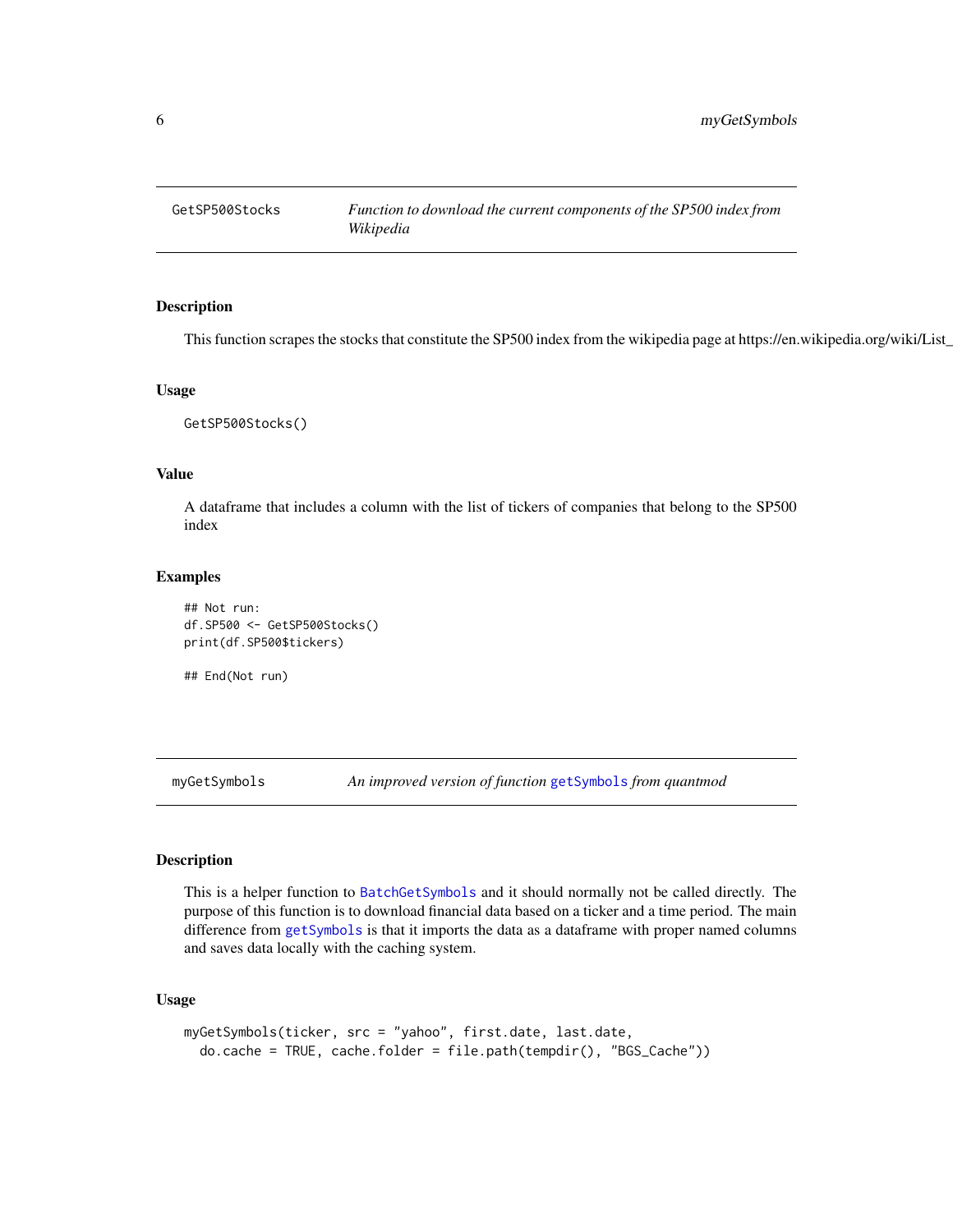<span id="page-5-0"></span>

#### Description

This function scrapes the stocks that constitute the SP500 index from the wikipedia page at https://en.wikipedia.org/wiki/List\_

#### Usage

GetSP500Stocks()

#### Value

A dataframe that includes a column with the list of tickers of companies that belong to the SP500 index

#### Examples

```
## Not run:
df.SP500 <- GetSP500Stocks()
print(df.SP500$tickers)
```
## End(Not run)

myGetSymbols *An improved version of function* [getSymbols](#page-0-0) *from quantmod*

#### Description

This is a helper function to [BatchGetSymbols](#page-1-1) and it should normally not be called directly. The purpose of this function is to download financial data based on a ticker and a time period. The main difference from [getSymbols](#page-0-0) is that it imports the data as a dataframe with proper named columns and saves data locally with the caching system.

#### Usage

```
myGetSymbols(ticker, src = "yahoo", first.date, last.date,
 do.cache = TRUE, cache.folder = file.path(tempdir(), "BGS_Cache"))
```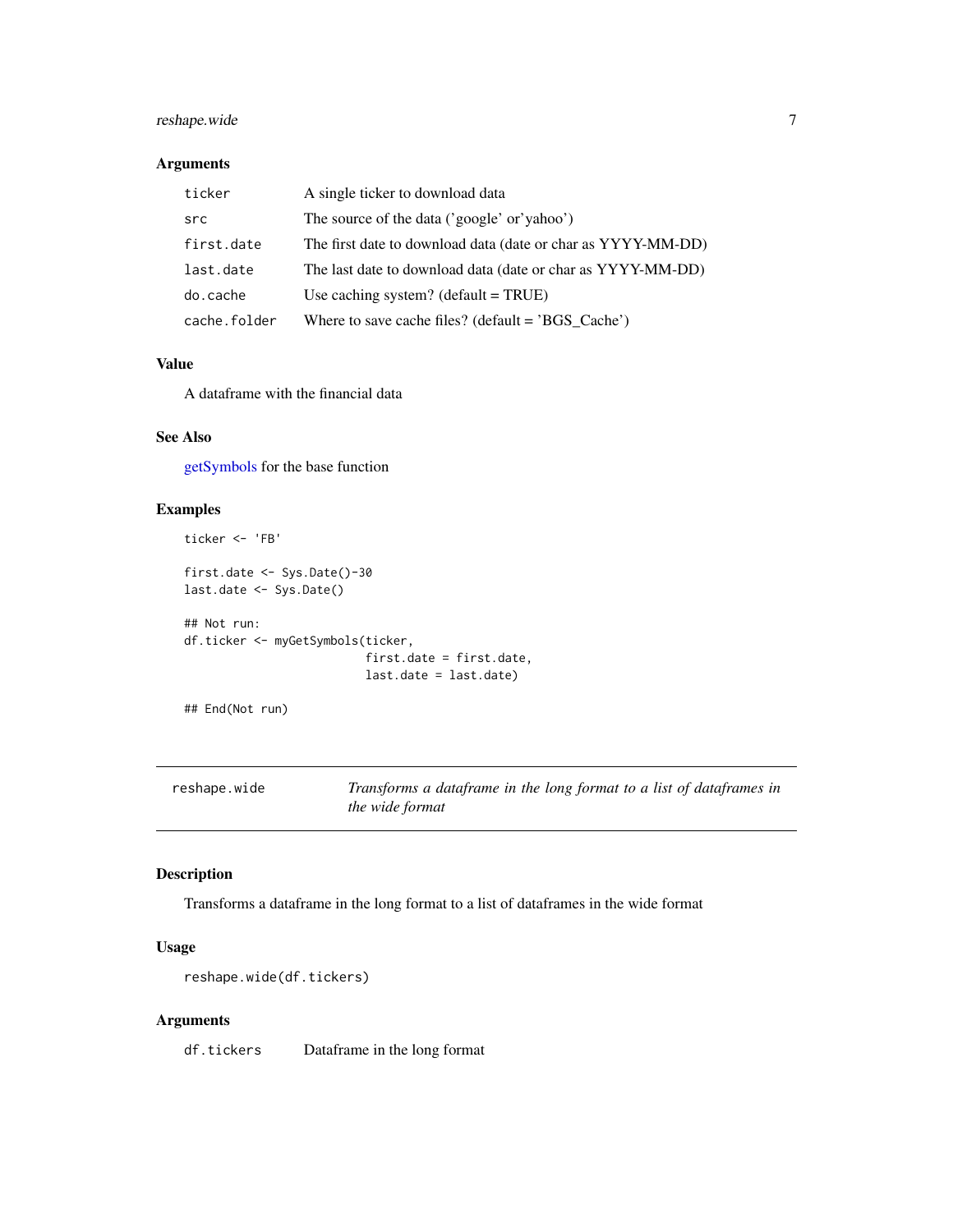#### <span id="page-6-0"></span>reshape.wide 7

#### Arguments

| ticker       | A single ticker to download data                             |
|--------------|--------------------------------------------------------------|
| src          | The source of the data ('google' or'yahoo')                  |
| first.date   | The first date to download data (date or char as YYYY-MM-DD) |
| last.date    | The last date to download data (date or char as YYYY-MM-DD)  |
| do.cache     | Use caching system? $(detault = TRUE)$                       |
| cache.folder | Where to save cache files? (default = $'BGS_Cache'$ )        |

#### Value

A dataframe with the financial data

#### See Also

[getSymbols](#page-0-0) for the base function

#### Examples

```
ticker <- 'FB'
first.date <- Sys.Date()-30
last.date <- Sys.Date()
## Not run:
df.ticker <- myGetSymbols(ticker,
                          first.date = first.date,
                          last.date = last.date)
```
## End(Not run)

reshape.wide *Transforms a dataframe in the long format to a list of dataframes in the wide format*

#### Description

Transforms a dataframe in the long format to a list of dataframes in the wide format

#### Usage

reshape.wide(df.tickers)

#### Arguments

df.tickers Dataframe in the long format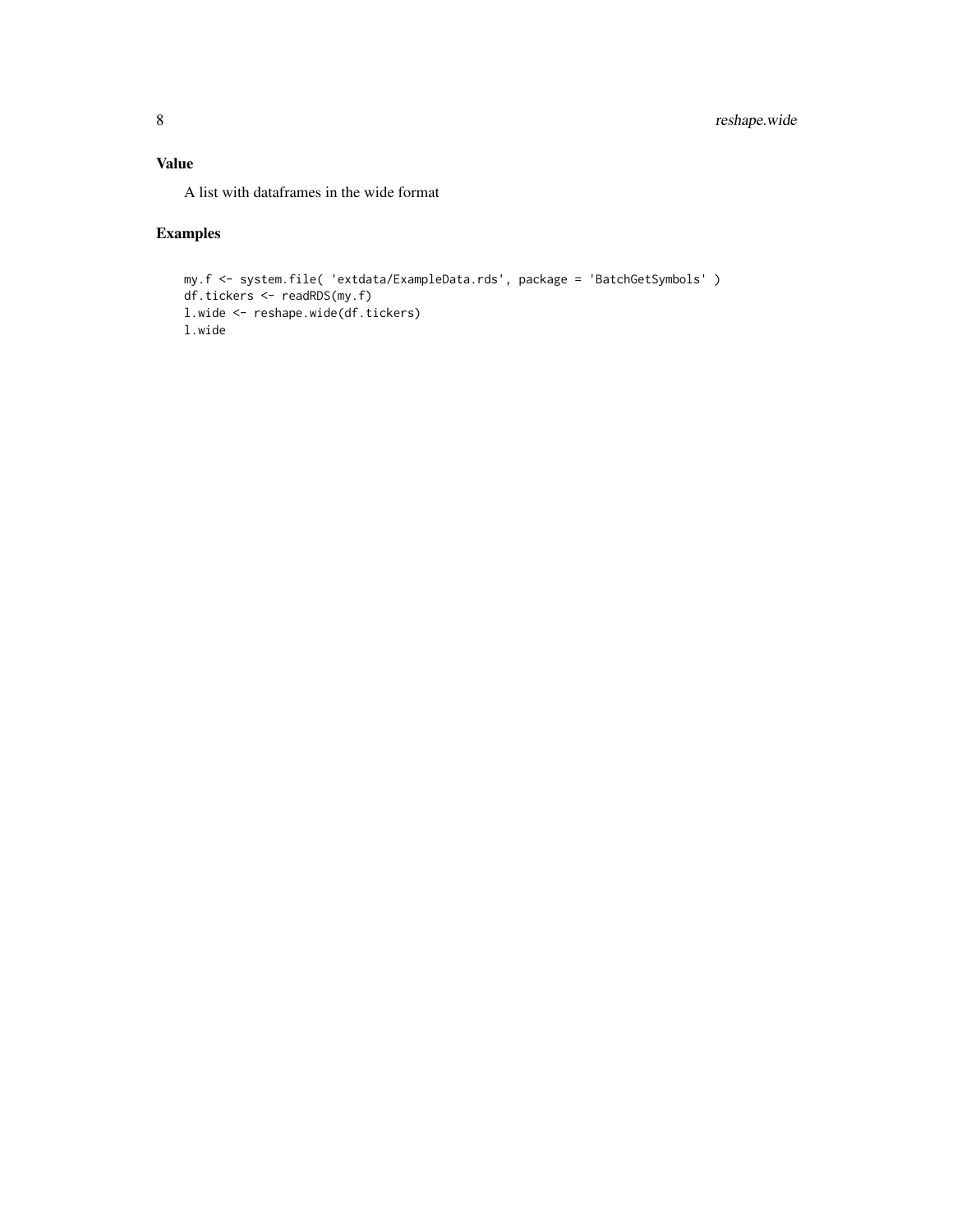#### Value

A list with dataframes in the wide format

#### Examples

```
my.f <- system.file( 'extdata/ExampleData.rds', package = 'BatchGetSymbols' )
df.tickers <- readRDS(my.f)
l.wide <- reshape.wide(df.tickers)
l.wide
```